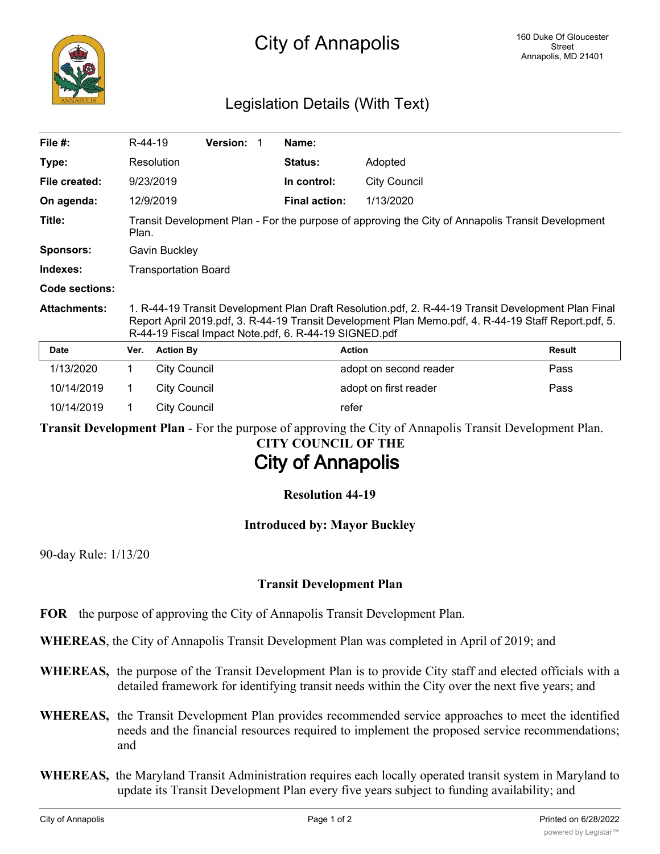## Legislation Details (With Text)

| File $#$ :          | R-44-19                                                                                                                                                                                                                                                              |                     | <b>Version: 1</b> |  | Name:                |                        |        |
|---------------------|----------------------------------------------------------------------------------------------------------------------------------------------------------------------------------------------------------------------------------------------------------------------|---------------------|-------------------|--|----------------------|------------------------|--------|
| Type:               |                                                                                                                                                                                                                                                                      | Resolution          |                   |  | <b>Status:</b>       | Adopted                |        |
| File created:       |                                                                                                                                                                                                                                                                      | 9/23/2019           |                   |  | In control:          | <b>City Council</b>    |        |
| On agenda:          |                                                                                                                                                                                                                                                                      | 12/9/2019           |                   |  | <b>Final action:</b> | 1/13/2020              |        |
| Title:              | Transit Development Plan - For the purpose of approving the City of Annapolis Transit Development<br>Plan.                                                                                                                                                           |                     |                   |  |                      |                        |        |
| <b>Sponsors:</b>    | Gavin Buckley                                                                                                                                                                                                                                                        |                     |                   |  |                      |                        |        |
| Indexes:            | <b>Transportation Board</b>                                                                                                                                                                                                                                          |                     |                   |  |                      |                        |        |
| Code sections:      |                                                                                                                                                                                                                                                                      |                     |                   |  |                      |                        |        |
| <b>Attachments:</b> | 1. R-44-19 Transit Development Plan Draft Resolution.pdf, 2. R-44-19 Transit Development Plan Final<br>Report April 2019.pdf, 3. R-44-19 Transit Development Plan Memo.pdf, 4. R-44-19 Staff Report.pdf, 5.<br>R-44-19 Fiscal Impact Note.pdf, 6. R-44-19 SIGNED.pdf |                     |                   |  |                      |                        |        |
| <b>Date</b>         | Ver.                                                                                                                                                                                                                                                                 | <b>Action By</b>    |                   |  |                      | <b>Action</b>          | Result |
| 1/13/2020           | 1.                                                                                                                                                                                                                                                                   | <b>City Council</b> |                   |  |                      | adopt on second reader | Pass   |
| 10/14/2019          | $\mathbf 1$                                                                                                                                                                                                                                                          | <b>City Council</b> |                   |  |                      | adopt on first reader  | Pass   |
| 10/14/2019          | 1                                                                                                                                                                                                                                                                    | <b>City Council</b> |                   |  |                      | refer                  |        |

**Transit Development Plan** - For the purpose of approving the City of Annapolis Transit Development Plan.

**CITY COUNCIL OF THE**

# **City of Annapolis**

#### **Resolution 44-19**

#### **Introduced by: Mayor Buckley**

90-day Rule: 1/13/20

#### **Transit Development Plan**

**FOR** the purpose of approving the City of Annapolis Transit Development Plan.

**WHEREAS**, the City of Annapolis Transit Development Plan was completed in April of 2019; and

- **WHEREAS,** the purpose of the Transit Development Plan is to provide City staff and elected officials with a detailed framework for identifying transit needs within the City over the next five years; and
- **WHEREAS,** the Transit Development Plan provides recommended service approaches to meet the identified needs and the financial resources required to implement the proposed service recommendations; and
- **WHEREAS,** the Maryland Transit Administration requires each locally operated transit system in Maryland to update its Transit Development Plan every five years subject to funding availability; and